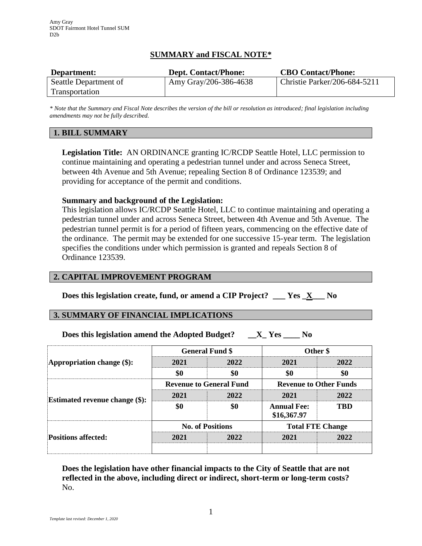# **SUMMARY and FISCAL NOTE\***

| Department:           | <b>Dept. Contact/Phone:</b> | <b>CBO Contact/Phone:</b>    |
|-----------------------|-----------------------------|------------------------------|
| Seattle Department of | Amy Gray/206-386-4638       | Christie Parker/206-684-5211 |
| <b>Transportation</b> |                             |                              |

*\* Note that the Summary and Fiscal Note describes the version of the bill or resolution as introduced; final legislation including amendments may not be fully described.*

## **1. BILL SUMMARY**

**Legislation Title:** AN ORDINANCE granting IC/RCDP Seattle Hotel, LLC permission to continue maintaining and operating a pedestrian tunnel under and across Seneca Street, between 4th Avenue and 5th Avenue; repealing Section 8 of Ordinance 123539; and providing for acceptance of the permit and conditions.

#### **Summary and background of the Legislation:**

This legislation allows IC/RCDP Seattle Hotel, LLC to continue maintaining and operating a pedestrian tunnel under and across Seneca Street, between 4th Avenue and 5th Avenue. The pedestrian tunnel permit is for a period of fifteen years, commencing on the effective date of the ordinance. The permit may be extended for one successive 15-year term. The legislation specifies the conditions under which permission is granted and repeals Section 8 of Ordinance 123539.

## **2. CAPITAL IMPROVEMENT PROGRAM**

**Does this legislation create, fund, or amend a CIP Project? \_\_\_ Yes \_X\_\_\_ No**

## **3. SUMMARY OF FINANCIAL IMPLICATIONS**

**Does this legislation amend the Adopted Budget? \_\_X\_ Yes \_\_\_\_ No**

| Appropriation change $(\$)$ :         | <b>General Fund \$</b>         |      | Other \$                          |            |
|---------------------------------------|--------------------------------|------|-----------------------------------|------------|
|                                       | 2021                           | 2022 | 2021                              | 2022       |
|                                       | \$0                            | \$0  | \$0                               | \$0        |
| <b>Estimated revenue change (\$):</b> | <b>Revenue to General Fund</b> |      | <b>Revenue to Other Funds</b>     |            |
|                                       | 2021                           | 2022 | 2021                              | 2022       |
|                                       | \$0                            | \$0  | <b>Annual Fee:</b><br>\$16,367.97 | <b>TBD</b> |
| <b>Positions affected:</b>            | <b>No. of Positions</b>        |      | <b>Total FTE Change</b>           |            |
|                                       | 2021                           | 2022 | 2021                              | 2022       |
|                                       |                                |      |                                   |            |

**Does the legislation have other financial impacts to the City of Seattle that are not reflected in the above, including direct or indirect, short-term or long-term costs?** No.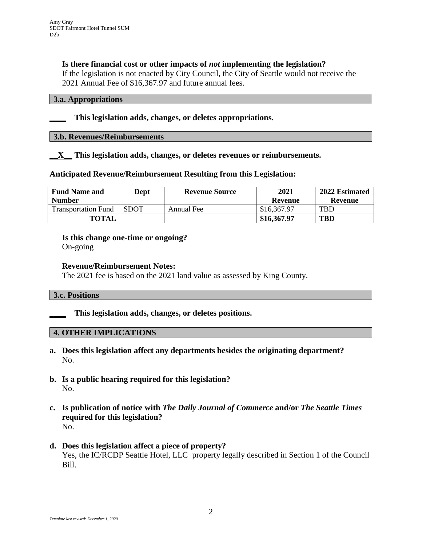### **Is there financial cost or other impacts of** *not* **implementing the legislation?**

If the legislation is not enacted by City Council, the City of Seattle would not receive the 2021 Annual Fee of \$16,367.97 and future annual fees.

## **3.a. Appropriations**

#### **\_\_\_\_ This legislation adds, changes, or deletes appropriations.**

#### **3.b. Revenues/Reimbursements**

#### **\_\_X\_\_ This legislation adds, changes, or deletes revenues or reimbursements.**

#### **Anticipated Revenue/Reimbursement Resulting from this Legislation:**

| <b>Fund Name and</b>       | Dept        | <b>Revenue Source</b> | 2021        | 2022 Estimated |
|----------------------------|-------------|-----------------------|-------------|----------------|
| <b>Number</b>              |             |                       | Revenue     | Revenue        |
| <b>Transportation Fund</b> | <b>SDOT</b> | Annual Fee            | \$16,367.97 | <b>TBD</b>     |
| <b>TOTAL</b>               |             |                       | \$16,367.97 | <b>TBD</b>     |

#### **Is this change one-time or ongoing?**

On-going

#### **Revenue/Reimbursement Notes:**

The 2021 fee is based on the 2021 land value as assessed by King County.

#### **3.c. Positions**

**\_\_\_\_ This legislation adds, changes, or deletes positions.**

### **4. OTHER IMPLICATIONS**

- **a. Does this legislation affect any departments besides the originating department?** No.
- **b. Is a public hearing required for this legislation?** No.
- **c. Is publication of notice with** *The Daily Journal of Commerce* **and/or** *The Seattle Times* **required for this legislation?** No.
- **d. Does this legislation affect a piece of property?** Yes, the IC/RCDP Seattle Hotel, LLC property legally described in Section 1 of the Council Bill.